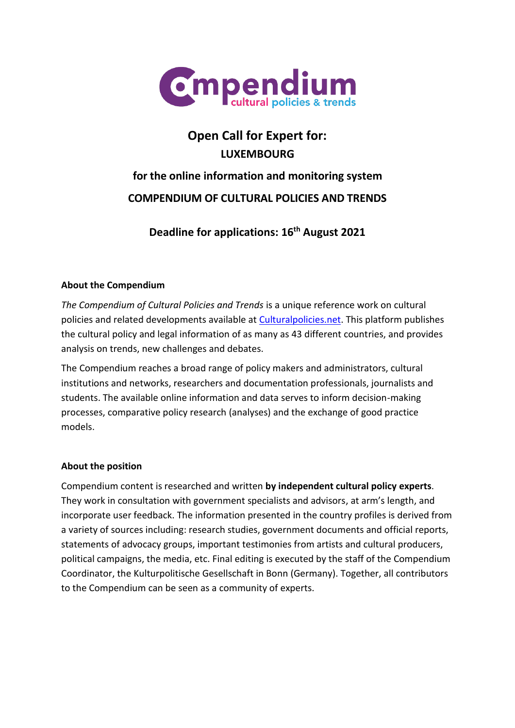

# **Open Call for Expert for: LUXEMBOURG**

# **for the online information and monitoring system COMPENDIUM OF CULTURAL POLICIES AND TRENDS**

**Deadline for applications: 16th August 2021**

# **About the Compendium**

*The Compendium of Cultural Policies and Trends* is a unique reference work on cultural policies and related developments available at [Culturalpolicies.net.](http://www.culturalpolicies.net/) This platform publishes the cultural policy and legal information of as many as 43 different countries, and provides analysis on trends, new challenges and debates.

The Compendium reaches a broad range of policy makers and administrators, cultural institutions and networks, researchers and documentation professionals, journalists and students. The available online information and data serves to inform decision-making processes, comparative policy research (analyses) and the exchange of good practice models.

#### **About the position**

Compendium content is researched and written **by independent cultural policy experts**. They work in consultation with government specialists and advisors, at arm's length, and incorporate user feedback. The information presented in the country profiles is derived from a variety of sources including: research studies, government documents and official reports, statements of advocacy groups, important testimonies from artists and cultural producers, political campaigns, the media, etc. Final editing is executed by the staff of the Compendium Coordinator, the Kulturpolitische Gesellschaft in Bonn (Germany). Together, all contributors to the Compendium can be seen as a community of experts.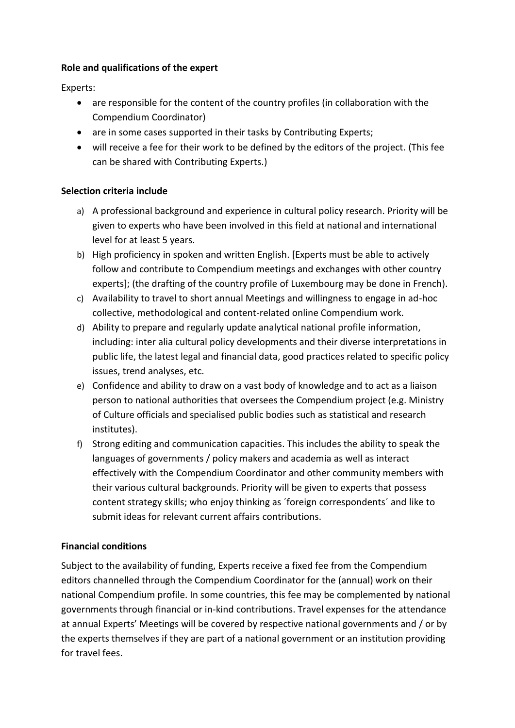#### **Role and qualifications of the expert**

Experts:

- are responsible for the content of the country profiles (in collaboration with the Compendium Coordinator)
- are in some cases supported in their tasks by Contributing Experts;
- will receive a fee for their work to be defined by the editors of the project. (This fee can be shared with Contributing Experts.)

#### **Selection criteria include**

- a) A professional background and experience in cultural policy research. Priority will be given to experts who have been involved in this field at national and international level for at least 5 years.
- b) High proficiency in spoken and written English. [Experts must be able to actively follow and contribute to Compendium meetings and exchanges with other country experts]; (the drafting of the country profile of Luxembourg may be done in French).
- c) Availability to travel to short annual Meetings and willingness to engage in ad-hoc collective, methodological and content-related online Compendium work.
- d) Ability to prepare and regularly update analytical national profile information, including: inter alia cultural policy developments and their diverse interpretations in public life, the latest legal and financial data, good practices related to specific policy issues, trend analyses, etc.
- e) Confidence and ability to draw on a vast body of knowledge and to act as a liaison person to national authorities that oversees the Compendium project (e.g. Ministry of Culture officials and specialised public bodies such as statistical and research institutes).
- f) Strong editing and communication capacities. This includes the ability to speak the languages of governments / policy makers and academia as well as interact effectively with the Compendium Coordinator and other community members with their various cultural backgrounds. Priority will be given to experts that possess content strategy skills; who enjoy thinking as ´foreign correspondents´ and like to submit ideas for relevant current affairs contributions.

#### **Financial conditions**

Subject to the availability of funding, Experts receive a fixed fee from the Compendium editors channelled through the Compendium Coordinator for the (annual) work on their national Compendium profile. In some countries, this fee may be complemented by national governments through financial or in-kind contributions. Travel expenses for the attendance at annual Experts' Meetings will be covered by respective national governments and / or by the experts themselves if they are part of a national government or an institution providing for travel fees.